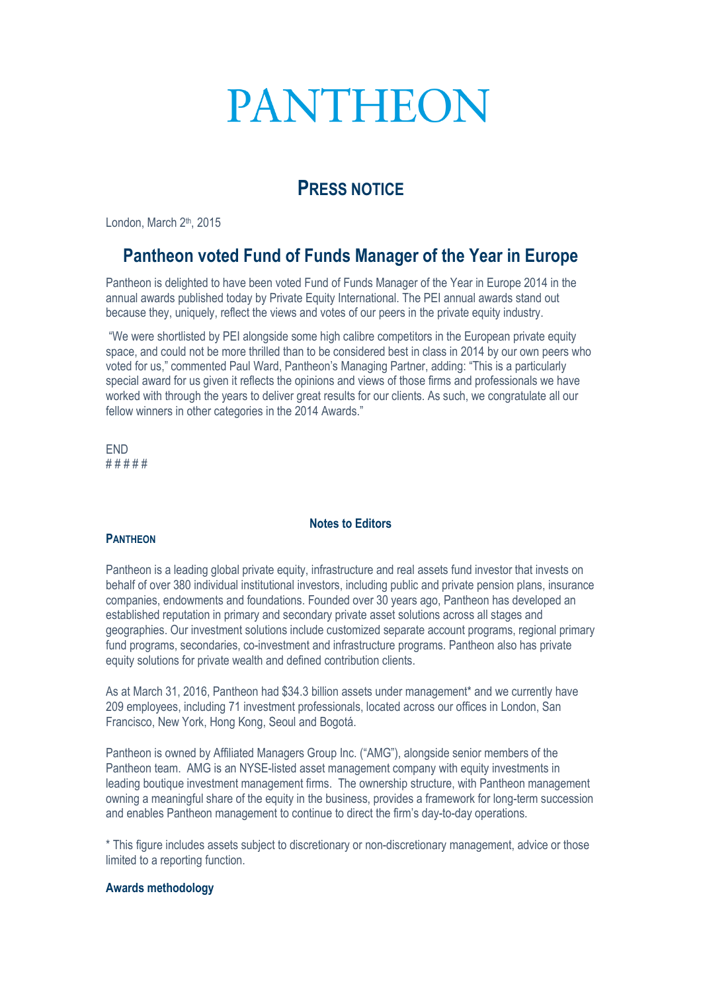# **PANTHEON**

## **PRESS NOTICE**

London, March 2<sup>th</sup>, 2015

### **Pantheon voted Fund of Funds Manager of the Year in Europe**

Pantheon is delighted to have been voted Fund of Funds Manager of the Year in Europe 2014 in the annual awards published today by Private Equity International. The PEI annual awards stand out because they, uniquely, reflect the views and votes of our peers in the private equity industry.

"We were shortlisted by PEI alongside some high calibre competitors in the European private equity space, and could not be more thrilled than to be considered best in class in 2014 by our own peers who voted for us," commented Paul Ward, Pantheon's Managing Partner, adding: "This is a particularly special award for us given it reflects the opinions and views of those firms and professionals we have worked with through the years to deliver great results for our clients. As such, we congratulate all our fellow winners in other categories in the 2014 Awards."

END # # # # #

#### **Notes to Editors**

#### **PANTHEON**

Pantheon is a leading global private equity, infrastructure and real assets fund investor that invests on behalf of over 380 individual institutional investors, including public and private pension plans, insurance companies, endowments and foundations. Founded over 30 years ago, Pantheon has developed an established reputation in primary and secondary private asset solutions across all stages and geographies. Our investment solutions include customized separate account programs, regional primary fund programs, secondaries, co-investment and infrastructure programs. Pantheon also has private equity solutions for private wealth and defined contribution clients.

As at March 31, 2016, Pantheon had \$34.3 billion assets under management\* and we currently have 209 employees, including 71 investment professionals, located across our offices in London, San Francisco, New York, Hong Kong, Seoul and Bogotá.

Pantheon is owned by Affiliated Managers Group Inc. ("AMG"), alongside senior members of the Pantheon team. AMG is an NYSE-listed asset management company with equity investments in leading boutique investment management firms. The ownership structure, with Pantheon management owning a meaningful share of the equity in the business, provides a framework for long-term succession and enables Pantheon management to continue to direct the firm's day-to-day operations.

\* This figure includes assets subject to discretionary or non-discretionary management, advice or those limited to a reporting function.

#### **Awards methodology**